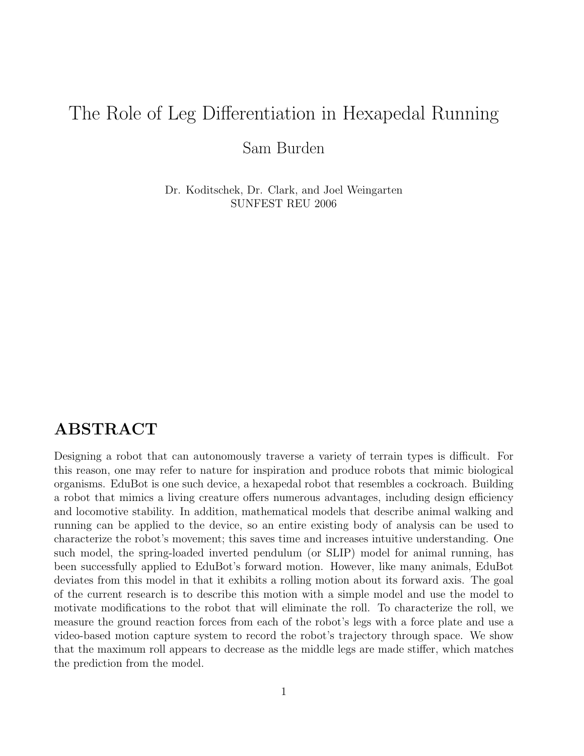# The Role of Leg Differentiation in Hexapedal Running

Sam Burden

Dr. Koditschek, Dr. Clark, and Joel Weingarten SUNFEST REU 2006

### ABSTRACT

Designing a robot that can autonomously traverse a variety of terrain types is difficult. For this reason, one may refer to nature for inspiration and produce robots that mimic biological organisms. EduBot is one such device, a hexapedal robot that resembles a cockroach. Building a robot that mimics a living creature offers numerous advantages, including design efficiency and locomotive stability. In addition, mathematical models that describe animal walking and running can be applied to the device, so an entire existing body of analysis can be used to characterize the robot's movement; this saves time and increases intuitive understanding. One such model, the spring-loaded inverted pendulum (or SLIP) model for animal running, has been successfully applied to EduBot's forward motion. However, like many animals, EduBot deviates from this model in that it exhibits a rolling motion about its forward axis. The goal of the current research is to describe this motion with a simple model and use the model to motivate modifications to the robot that will eliminate the roll. To characterize the roll, we measure the ground reaction forces from each of the robot's legs with a force plate and use a video-based motion capture system to record the robot's trajectory through space. We show that the maximum roll appears to decrease as the middle legs are made stiffer, which matches the prediction from the model.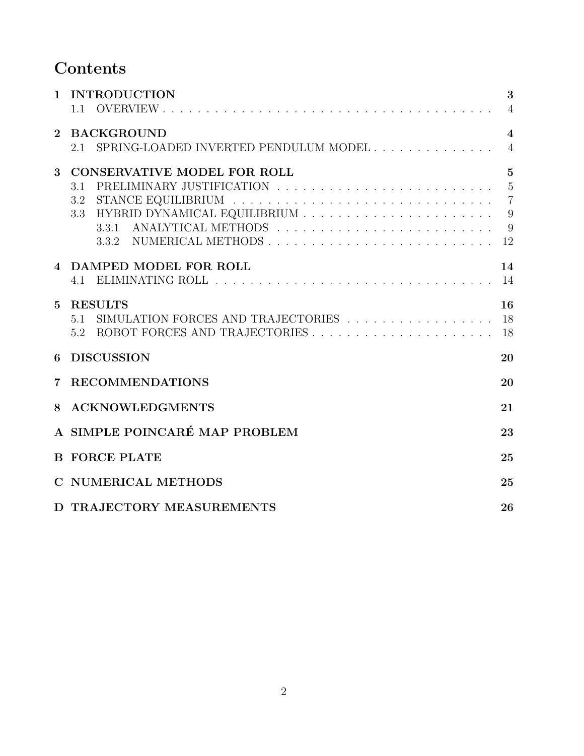# Contents

| $\mathbf{1}$   | <b>INTRODUCTION</b><br>1.1                                                                                                                                                                                                                            | 3<br>$\overline{4}$                          |  |  |
|----------------|-------------------------------------------------------------------------------------------------------------------------------------------------------------------------------------------------------------------------------------------------------|----------------------------------------------|--|--|
| $\mathbf{2}$   | <b>BACKGROUND</b><br>SPRING-LOADED INVERTED PENDULUM MODEL<br>2.1                                                                                                                                                                                     | $\overline{4}$<br>$\overline{4}$             |  |  |
| 3              | <b>CONSERVATIVE MODEL FOR ROLL</b><br>PRELIMINARY JUSTIFICATION $\ldots \ldots \ldots \ldots \ldots \ldots \ldots \ldots \ldots \ldots$<br>3.1<br>3.3 HYBRID DYNAMICAL EQUILIBRIUM $\ldots \ldots \ldots \ldots \ldots \ldots \ldots \ldots$<br>3.3.1 | $5\overline{)}$<br>$\overline{7}$<br>9<br>12 |  |  |
| $\overline{4}$ | DAMPED MODEL FOR ROLL<br>4.1                                                                                                                                                                                                                          | 14<br>14                                     |  |  |
| $\mathbf{5}$   | <b>RESULTS</b><br>SIMULATION FORCES AND TRAJECTORIES $\ldots \ldots \ldots \ldots \ldots \ldots$<br>5.1<br>5.2                                                                                                                                        | 16<br>18                                     |  |  |
| 6              | <b>DISCUSSION</b><br>20                                                                                                                                                                                                                               |                                              |  |  |
| 7              | <b>RECOMMENDATIONS</b><br>20                                                                                                                                                                                                                          |                                              |  |  |
| 8              | <b>ACKNOWLEDGMENTS</b><br>21                                                                                                                                                                                                                          |                                              |  |  |
|                | A SIMPLE POINCARÉ MAP PROBLEM<br>23                                                                                                                                                                                                                   |                                              |  |  |
|                | <b>B FORCE PLATE</b><br>25                                                                                                                                                                                                                            |                                              |  |  |
|                | C NUMERICAL METHODS<br>25                                                                                                                                                                                                                             |                                              |  |  |
|                | D TRAJECTORY MEASUREMENTS<br>26                                                                                                                                                                                                                       |                                              |  |  |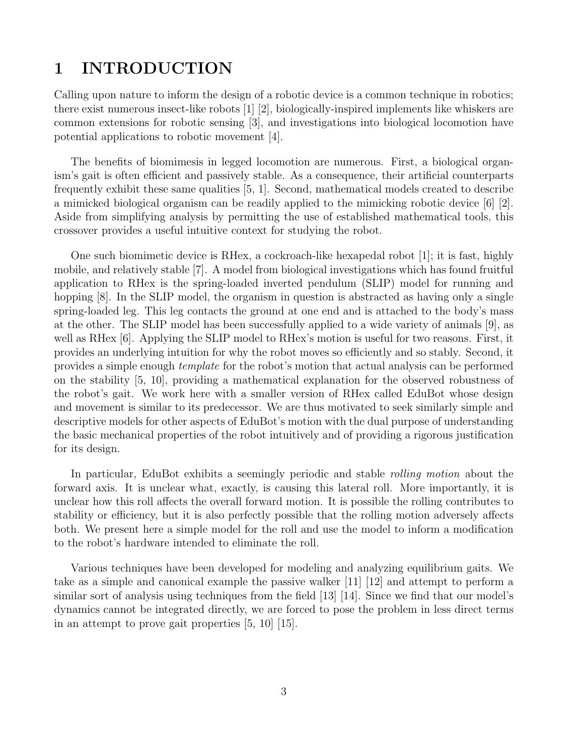### 1 INTRODUCTION

Calling upon nature to inform the design of a robotic device is a common technique in robotics; there exist numerous insect-like robots [1] [2], biologically-inspired implements like whiskers are common extensions for robotic sensing [3], and investigations into biological locomotion have potential applications to robotic movement [4].

The benefits of biomimesis in legged locomotion are numerous. First, a biological organism's gait is often efficient and passively stable. As a consequence, their artificial counterparts frequently exhibit these same qualities [5, 1]. Second, mathematical models created to describe a mimicked biological organism can be readily applied to the mimicking robotic device [6] [2]. Aside from simplifying analysis by permitting the use of established mathematical tools, this crossover provides a useful intuitive context for studying the robot.

One such biomimetic device is RHex, a cockroach-like hexapedal robot [1]; it is fast, highly mobile, and relatively stable [7]. A model from biological investigations which has found fruitful application to RHex is the spring-loaded inverted pendulum (SLIP) model for running and hopping [8]. In the SLIP model, the organism in question is abstracted as having only a single spring-loaded leg. This leg contacts the ground at one end and is attached to the body's mass at the other. The SLIP model has been successfully applied to a wide variety of animals [9], as well as RHex [6]. Applying the SLIP model to RHex's motion is useful for two reasons. First, it provides an underlying intuition for why the robot moves so efficiently and so stably. Second, it provides a simple enough template for the robot's motion that actual analysis can be performed on the stability [5, 10], providing a mathematical explanation for the observed robustness of the robot's gait. We work here with a smaller version of RHex called EduBot whose design and movement is similar to its predecessor. We are thus motivated to seek similarly simple and descriptive models for other aspects of EduBot's motion with the dual purpose of understanding the basic mechanical properties of the robot intuitively and of providing a rigorous justification for its design.

In particular, EduBot exhibits a seemingly periodic and stable rolling motion about the forward axis. It is unclear what, exactly, is causing this lateral roll. More importantly, it is unclear how this roll affects the overall forward motion. It is possible the rolling contributes to stability or efficiency, but it is also perfectly possible that the rolling motion adversely affects both. We present here a simple model for the roll and use the model to inform a modification to the robot's hardware intended to eliminate the roll.

Various techniques have been developed for modeling and analyzing equilibrium gaits. We take as a simple and canonical example the passive walker [11] [12] and attempt to perform a similar sort of analysis using techniques from the field [13] [14]. Since we find that our model's dynamics cannot be integrated directly, we are forced to pose the problem in less direct terms in an attempt to prove gait properties [5, 10] [15].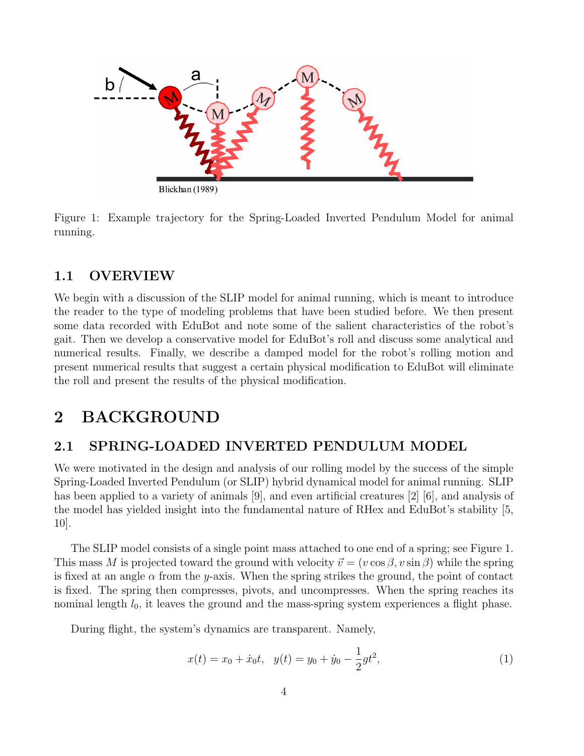

Figure 1: Example trajectory for the Spring-Loaded Inverted Pendulum Model for animal running.

### 1.1 OVERVIEW

We begin with a discussion of the SLIP model for animal running, which is meant to introduce the reader to the type of modeling problems that have been studied before. We then present some data recorded with EduBot and note some of the salient characteristics of the robot's gait. Then we develop a conservative model for EduBot's roll and discuss some analytical and numerical results. Finally, we describe a damped model for the robot's rolling motion and present numerical results that suggest a certain physical modification to EduBot will eliminate the roll and present the results of the physical modification.

### 2 BACKGROUND

### 2.1 SPRING-LOADED INVERTED PENDULUM MODEL

We were motivated in the design and analysis of our rolling model by the success of the simple Spring-Loaded Inverted Pendulum (or SLIP) hybrid dynamical model for animal running. SLIP has been applied to a variety of animals [9], and even artificial creatures [2] [6], and analysis of the model has yielded insight into the fundamental nature of RHex and EduBot's stability [5, 10].

The SLIP model consists of a single point mass attached to one end of a spring; see Figure 1. This mass M is projected toward the ground with velocity  $\vec{v} = (v \cos \beta, v \sin \beta)$  while the spring is fixed at an angle  $\alpha$  from the y-axis. When the spring strikes the ground, the point of contact is fixed. The spring then compresses, pivots, and uncompresses. When the spring reaches its nominal length  $l_0$ , it leaves the ground and the mass-spring system experiences a flight phase.

During flight, the system's dynamics are transparent. Namely,

$$
x(t) = x_0 + \dot{x}_0 t, \quad y(t) = y_0 + \dot{y}_0 - \frac{1}{2}gt^2,
$$
\n<sup>(1)</sup>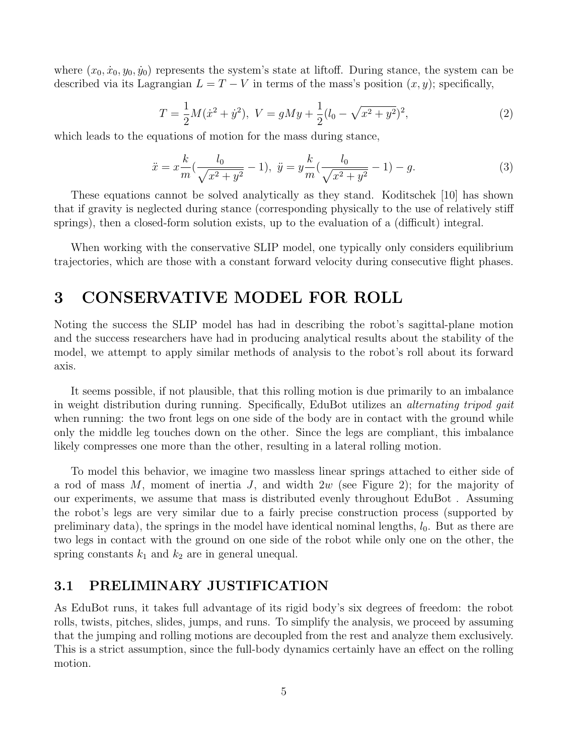where  $(x_0, \dot{x}_0, y_0, \dot{y}_0)$  represents the system's state at liftoff. During stance, the system can be described via its Lagrangian  $L = T - V$  in terms of the mass's position  $(x, y)$ ; specifically,

$$
T = \frac{1}{2}M(\dot{x}^2 + \dot{y}^2), \ V = gMy + \frac{1}{2}(l_0 - \sqrt{x^2 + y^2})^2,
$$
\n(2)

which leads to the equations of motion for the mass during stance,

$$
\ddot{x} = x \frac{k}{m} \left( \frac{l_0}{\sqrt{x^2 + y^2}} - 1 \right), \ \ddot{y} = y \frac{k}{m} \left( \frac{l_0}{\sqrt{x^2 + y^2}} - 1 \right) - g. \tag{3}
$$

These equations cannot be solved analytically as they stand. Koditschek [10] has shown that if gravity is neglected during stance (corresponding physically to the use of relatively stiff springs), then a closed-form solution exists, up to the evaluation of a (difficult) integral.

When working with the conservative SLIP model, one typically only considers equilibrium trajectories, which are those with a constant forward velocity during consecutive flight phases.

### 3 CONSERVATIVE MODEL FOR ROLL

Noting the success the SLIP model has had in describing the robot's sagittal-plane motion and the success researchers have had in producing analytical results about the stability of the model, we attempt to apply similar methods of analysis to the robot's roll about its forward axis.

It seems possible, if not plausible, that this rolling motion is due primarily to an imbalance in weight distribution during running. Specifically, EduBot utilizes an *alternating tripod gait* when running: the two front legs on one side of the body are in contact with the ground while only the middle leg touches down on the other. Since the legs are compliant, this imbalance likely compresses one more than the other, resulting in a lateral rolling motion.

To model this behavior, we imagine two massless linear springs attached to either side of a rod of mass  $M$ , moment of inertia J, and width  $2w$  (see Figure 2); for the majority of our experiments, we assume that mass is distributed evenly throughout EduBot . Assuming the robot's legs are very similar due to a fairly precise construction process (supported by preliminary data), the springs in the model have identical nominal lengths,  $l_0$ . But as there are two legs in contact with the ground on one side of the robot while only one on the other, the spring constants  $k_1$  and  $k_2$  are in general unequal.

#### 3.1 PRELIMINARY JUSTIFICATION

As EduBot runs, it takes full advantage of its rigid body's six degrees of freedom: the robot rolls, twists, pitches, slides, jumps, and runs. To simplify the analysis, we proceed by assuming that the jumping and rolling motions are decoupled from the rest and analyze them exclusively. This is a strict assumption, since the full-body dynamics certainly have an effect on the rolling motion.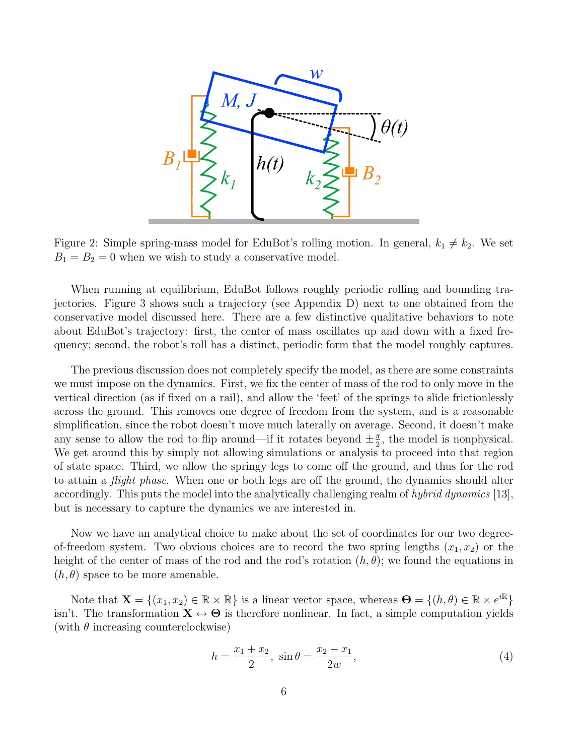

Figure 2: Simple spring-mass model for EduBot's rolling motion. In general,  $k_1 \neq k_2$ . We set  $B_1 = B_2 = 0$  when we wish to study a conservative model.

When running at equilibrium, EduBot follows roughly periodic rolling and bounding trajectories. Figure 3 shows such a trajectory (see Appendix D) next to one obtained from the conservative model discussed here. There are a few distinctive qualitative behaviors to note about EduBot's trajectory: first, the center of mass oscillates up and down with a fixed frequency; second, the robot's roll has a distinct, periodic form that the model roughly captures.

The previous discussion does not completely specify the model, as there are some constraints we must impose on the dynamics. First, we fix the center of mass of the rod to only move in the vertical direction (as if fixed on a rail), and allow the 'feet' of the springs to slide frictionlessly across the ground. This removes one degree of freedom from the system, and is a reasonable simplification, since the robot doesn't move much laterally on average. Second, it doesn't make any sense to allow the rod to flip around—if it rotates beyond  $\pm \frac{\pi}{2}$  $\frac{\pi}{2}$ , the model is nonphysical. We get around this by simply not allowing simulations or analysis to proceed into that region of state space. Third, we allow the springy legs to come off the ground, and thus for the rod to attain a *flight phase*. When one or both legs are off the ground, the dynamics should alter accordingly. This puts the model into the analytically challenging realm of hybrid dynamics [13], but is necessary to capture the dynamics we are interested in.

Now we have an analytical choice to make about the set of coordinates for our two degreeof-freedom system. Two obvious choices are to record the two spring lengths  $(x_1, x_2)$  or the height of the center of mass of the rod and the rod's rotation  $(h, \theta)$ ; we found the equations in  $(h, \theta)$  space to be more amenable.

Note that  $\mathbf{X} = \{(x_1, x_2) \in \mathbb{R} \times \mathbb{R}\}\$ is a linear vector space, whereas  $\mathbf{\Theta} = \{(h, \theta) \in \mathbb{R} \times e^{i\mathbb{R}}\}\$ isn't. The transformation  $X \leftrightarrow \Theta$  is therefore nonlinear. In fact, a simple computation yields (with  $\theta$  increasing counterclockwise)

$$
h = \frac{x_1 + x_2}{2}, \sin \theta = \frac{x_2 - x_1}{2w}, \tag{4}
$$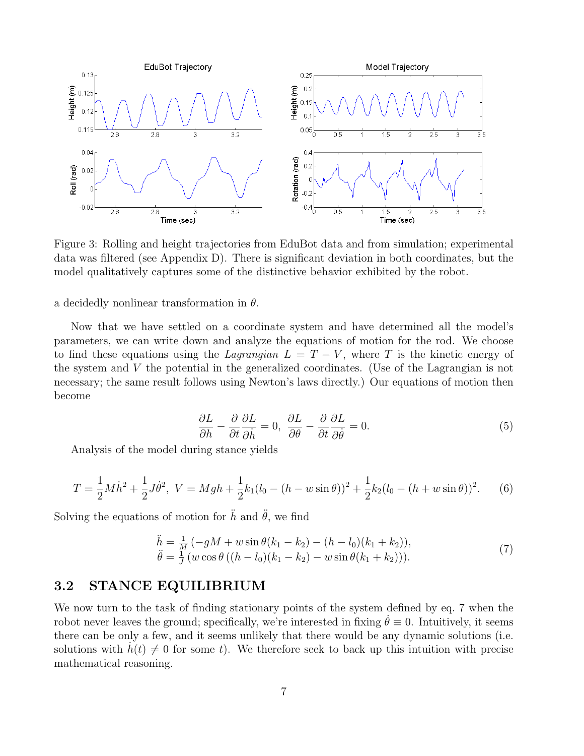

Figure 3: Rolling and height trajectories from EduBot data and from simulation; experimental data was filtered (see Appendix D). There is significant deviation in both coordinates, but the model qualitatively captures some of the distinctive behavior exhibited by the robot.

a decidedly nonlinear transformation in  $\theta$ .

Now that we have settled on a coordinate system and have determined all the model's parameters, we can write down and analyze the equations of motion for the rod. We choose to find these equations using the *Lagrangian*  $L = T - V$ , where T is the kinetic energy of the system and V the potential in the generalized coordinates. (Use of the Lagrangian is not necessary; the same result follows using Newton's laws directly.) Our equations of motion then become

$$
\frac{\partial L}{\partial h} - \frac{\partial}{\partial t} \frac{\partial L}{\partial \dot{h}} = 0, \ \frac{\partial L}{\partial \theta} - \frac{\partial}{\partial t} \frac{\partial L}{\partial \dot{\theta}} = 0.
$$
 (5)

Analysis of the model during stance yields

$$
T = \frac{1}{2}M\dot{h}^2 + \frac{1}{2}J\dot{\theta}^2, \ V = Mgh + \frac{1}{2}k_1(l_0 - (h - w\sin\theta))^2 + \frac{1}{2}k_2(l_0 - (h + w\sin\theta))^2.
$$
 (6)

Solving the equations of motion for  $\hat{h}$  and  $\hat{\theta}$ , we find

$$
\ddot{h} = \frac{1}{M} \left( -gM + w \sin \theta (k_1 - k_2) - (h - l_0)(k_1 + k_2) \right), \n\ddot{\theta} = \frac{1}{J} \left( w \cos \theta \left( (h - l_0)(k_1 - k_2) - w \sin \theta (k_1 + k_2) \right) \right).
$$
\n(7)

#### 3.2 STANCE EQUILIBRIUM

We now turn to the task of finding stationary points of the system defined by eq. 7 when the robot never leaves the ground; specifically, we're interested in fixing  $\theta \equiv 0$ . Intuitively, it seems there can be only a few, and it seems unlikely that there would be any dynamic solutions (i.e. solutions with  $h(t) \neq 0$  for some t). We therefore seek to back up this intuition with precise mathematical reasoning.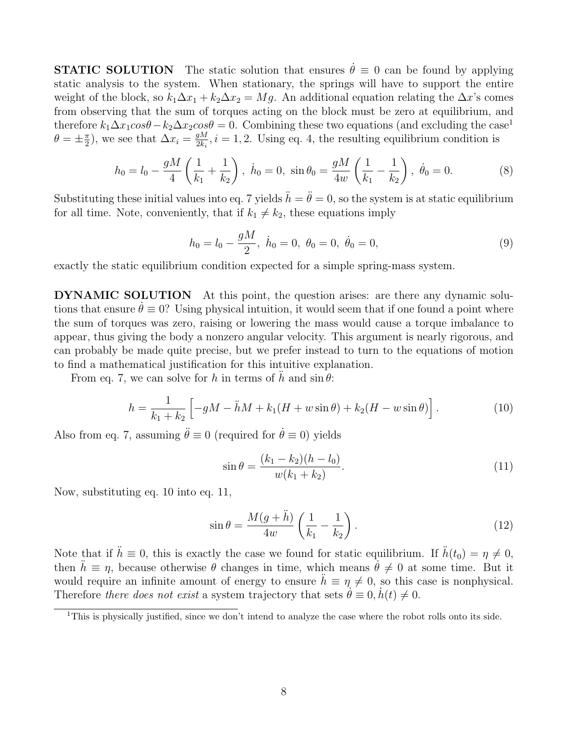**STATIC SOLUTION** The static solution that ensures  $\dot{\theta} \equiv 0$  can be found by applying static analysis to the system. When stationary, the springs will have to support the entire weight of the block, so  $k_1\Delta x_1 + k_2\Delta x_2 = Mg$ . An additional equation relating the  $\Delta x$ 's comes from observing that the sum of torques acting on the block must be zero at equilibrium, and therefore  $k_1\Delta x_1\cos\theta - k_2\Delta x_2\cos\theta = 0$ . Combining these two equations (and excluding the case<sup>1</sup>  $\theta = \pm \frac{\pi}{2}$  $(\frac{\pi}{2})$ , we see that  $\Delta x_i = \frac{gM}{2k_i}$  $\frac{gM}{2k_i}$ ,  $i = 1, 2$ . Using eq. 4, the resulting equilibrium condition is

$$
h_0 = l_0 - \frac{gM}{4} \left( \frac{1}{k_1} + \frac{1}{k_2} \right), \quad \dot{h}_0 = 0, \quad \sin \theta_0 = \frac{gM}{4w} \left( \frac{1}{k_1} - \frac{1}{k_2} \right), \quad \dot{\theta}_0 = 0. \tag{8}
$$

Substituting these initial values into eq. 7 yields  $\ddot{h} = \ddot{\theta} = 0$ , so the system is at static equilibrium for all time. Note, conveniently, that if  $k_1 \neq k_2$ , these equations imply

$$
h_0 = l_0 - \frac{gM}{2}, \ \dot{h}_0 = 0, \ \theta_0 = 0, \ \dot{\theta}_0 = 0,
$$
\n(9)

exactly the static equilibrium condition expected for a simple spring-mass system.

DYNAMIC SOLUTION At this point, the question arises: are there any dynamic solutions that ensure  $\theta \equiv 0$ ? Using physical intuition, it would seem that if one found a point where the sum of torques was zero, raising or lowering the mass would cause a torque imbalance to appear, thus giving the body a nonzero angular velocity. This argument is nearly rigorous, and can probably be made quite precise, but we prefer instead to turn to the equations of motion to find a mathematical justification for this intuitive explanation.

From eq. 7, we can solve for h in terms of h and  $\sin \theta$ :

$$
h = \frac{1}{k_1 + k_2} \left[ -gM - \ddot{h}M + k_1(H + w\sin\theta) + k_2(H - w\sin\theta) \right].
$$
 (10)

Also from eq. 7, assuming  $\ddot{\theta} \equiv 0$  (required for  $\dot{\theta} \equiv 0$ ) yields

$$
\sin \theta = \frac{(k_1 - k_2)(h - l_0)}{w(k_1 + k_2)}.
$$
\n(11)

Now, substituting eq. 10 into eq. 11,

$$
\sin \theta = \frac{M(g+\ddot{h})}{4w} \left(\frac{1}{k_1} - \frac{1}{k_2}\right). \tag{12}
$$

Note that if  $\ddot{h} \equiv 0$ , this is exactly the case we found for static equilibrium. If  $\ddot{h}(t_0) = \eta \neq 0$ , then  $h \equiv \eta$ , because otherwise  $\theta$  changes in time, which means  $\dot{\theta} \neq 0$  at some time. But it would require an infinite amount of energy to ensure  $\ddot{h} \equiv \eta \neq 0$ , so this case is nonphysical. Therefore there does not exist a system trajectory that sets  $\dot{\theta} \equiv 0, h(t) \neq 0$ .

<sup>1</sup>This is physically justified, since we don't intend to analyze the case where the robot rolls onto its side.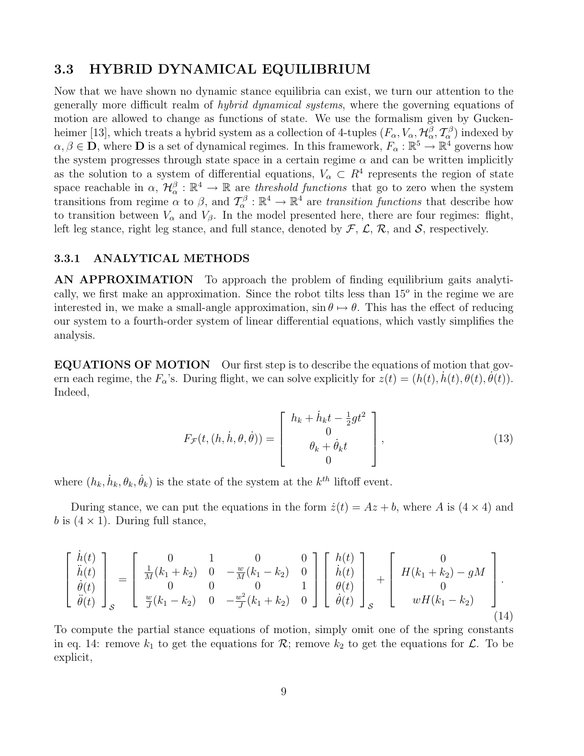#### 3.3 HYBRID DYNAMICAL EQUILIBRIUM

Now that we have shown no dynamic stance equilibria can exist, we turn our attention to the generally more difficult realm of hybrid dynamical systems, where the governing equations of motion are allowed to change as functions of state. We use the formalism given by Guckenheimer [13], which treats a hybrid system as a collection of 4-tuples  $(F_\alpha, V_\alpha, \mathcal{H}_\alpha^\beta, \mathcal{T}_\alpha^\beta)$  indexed by  $\alpha, \beta \in \mathbf{D}$ , where **D** is a set of dynamical regimes. In this framework,  $F_\alpha : \mathbb{R}^5 \to \mathbb{R}^4$  governs how the system progresses through state space in a certain regime  $\alpha$  and can be written implicitly as the solution to a system of differential equations,  $V_{\alpha} \subset R^4$  represents the region of state space reachable in  $\alpha$ ,  $\mathcal{H}^{\beta}_{\alpha}:\mathbb{R}^4\to\mathbb{R}$  are threshold functions that go to zero when the system transitions from regime  $\alpha$  to  $\beta$ , and  $\mathcal{T}^{\beta}_{\alpha}: \mathbb{R}^4 \to \mathbb{R}^4$  are transition functions that describe how to transition between  $V_{\alpha}$  and  $V_{\beta}$ . In the model presented here, there are four regimes: flight, left leg stance, right leg stance, and full stance, denoted by  $\mathcal{F}, \mathcal{L}, \mathcal{R},$  and  $\mathcal{S}$ , respectively.

#### 3.3.1 ANALYTICAL METHODS

AN APPROXIMATION To approach the problem of finding equilibrium gaits analytically, we first make an approximation. Since the robot tilts less than  $15<sup>o</sup>$  in the regime we are interested in, we make a small-angle approximation,  $\sin \theta \mapsto \theta$ . This has the effect of reducing our system to a fourth-order system of linear differential equations, which vastly simplifies the analysis.

EQUATIONS OF MOTION Our first step is to describe the equations of motion that govern each regime, the  $F_{\alpha}$ 's. During flight, we can solve explicitly for  $z(t) = (h(t), \dot{h}(t), \theta(t), \ddot{\theta(t}))$ . Indeed,

$$
F_{\mathcal{F}}(t,(h,\dot{h},\theta,\dot{\theta})) = \begin{bmatrix} h_k + \dot{h}_k t - \frac{1}{2}gt^2 \\ 0 \\ \theta_k + \dot{\theta}_k t \\ 0 \end{bmatrix},
$$
(13)

where  $(h_k, \dot{h}_k, \theta_k, \dot{\theta}_k)$  is the state of the system at the  $k^{th}$  liftoff event.

During stance, we can put the equations in the form  $\dot{z}(t) = Az + b$ , where A is  $(4 \times 4)$  and b is  $(4 \times 1)$ . During full stance,

$$
\begin{bmatrix}\n\dot{h}(t) \\
\ddot{h}(t) \\
\dot{\theta}(t) \\
\ddot{\theta}(t)\n\end{bmatrix}_{S} = \begin{bmatrix}\n0 & 1 & 0 & 0 \\
\frac{1}{M}(k_1 + k_2) & 0 & -\frac{w}{M}(k_1 - k_2) & 0 \\
0 & 0 & 0 & 1 \\
\frac{w}{J}(k_1 - k_2) & 0 & -\frac{w^2}{J}(k_1 + k_2) & 0\n\end{bmatrix} \begin{bmatrix}\nh(t) \\
\dot{h}(t) \\
\theta(t) \\
\dot{\theta}(t)\n\end{bmatrix}_{S} + \begin{bmatrix}\n0 \\
H(k_1 + k_2) - gM \\
0 \\
wH(k_1 - k_2)\n\end{bmatrix}.
$$
\n(14)

To compute the partial stance equations of motion, simply omit one of the spring constants in eq. 14: remove  $k_1$  to get the equations for  $\mathcal{R}$ ; remove  $k_2$  to get the equations for  $\mathcal{L}$ . To be explicit,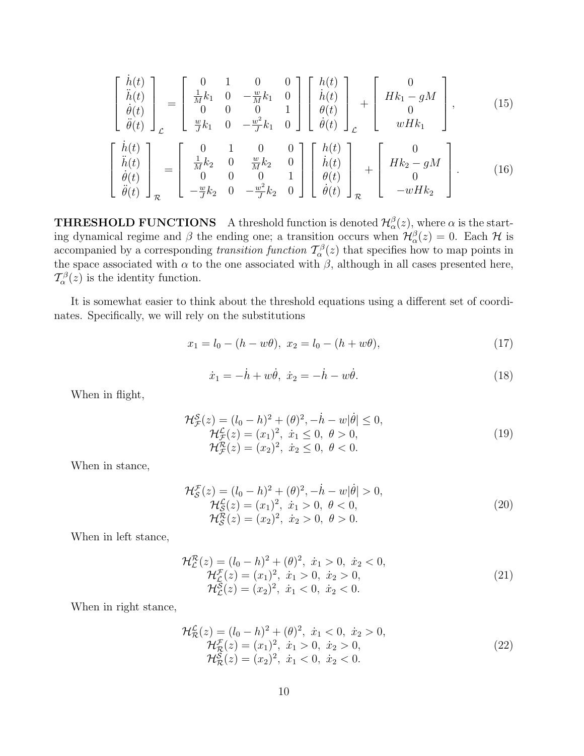$$
\begin{bmatrix}\n\dot{h}(t) \\
\ddot{h}(t) \\
\dot{\theta}(t) \\
\ddot{\theta}(t)\n\end{bmatrix}_{\mathcal{L}} = \begin{bmatrix}\n0 & 1 & 0 & 0 \\
\frac{1}{M}k_1 & 0 & -\frac{w}{M}k_1 & 0 \\
0 & 0 & 0 & 1 \\
\frac{w}{J}k_1 & 0 & -\frac{w^2}{J}k_1 & 0\n\end{bmatrix} \begin{bmatrix}\nh(t) \\
\dot{h}(t) \\
\theta(t) \\
\dot{\theta}(t)\n\end{bmatrix}_{\mathcal{L}} + \begin{bmatrix}\n0 \\
Hk_1 - gM \\
0 \\
wHk_1\n\end{bmatrix},
$$
\n(15)\n
$$
\begin{bmatrix}\n\dot{h}(t) \\
\ddot{h}(t) \\
\dot{\theta}(t) \\
\dot{\theta}(t)\n\end{bmatrix}_{\mathcal{R}} = \begin{bmatrix}\n0 & 1 & 0 & 0 \\
\frac{1}{M}k_2 & 0 & \frac{w}{M}k_2 & 0 \\
0 & 0 & 0 & 1 \\
-\frac{w^2}{J}k_2 & 0 & -\frac{w^2}{J}k_2 & 0\n\end{bmatrix} \begin{bmatrix}\nh(t) \\
\dot{h}(t) \\
\dot{\theta}(t) \\
\dot{\theta}(t)\n\end{bmatrix}_{\mathcal{R}} + \begin{bmatrix}\n0 \\
Hk_2 - gM \\
0 \\
\theta(t) \\
\dot{\theta}(t)\n\end{bmatrix}_{\mathcal{R}}.
$$
\n(16)

**THRESHOLD FUNCTIONS** A threshold function is denoted  $\mathcal{H}^{\beta}_{\alpha}(z)$ , where  $\alpha$  is the starting dynamical regime and  $\beta$  the ending one; a transition occurs when  $\mathcal{H}_{\alpha}^{\beta}(z) = 0$ . Each  $\mathcal{H}$  is accompanied by a corresponding *transition function*  $T_{\alpha}^{\beta}(z)$  that specifies how to map points in the space associated with  $\alpha$  to the one associated with  $\beta$ , although in all cases presented here,  $\mathcal{T}_{\alpha}^{\beta}(z)$  is the identity function.

It is somewhat easier to think about the threshold equations using a different set of coordinates. Specifically, we will rely on the substitutions

$$
x_1 = l_0 - (h - w\theta), \ x_2 = l_0 - (h + w\theta), \tag{17}
$$

$$
\dot{x}_1 = -\dot{h} + w\dot{\theta}, \ \dot{x}_2 = -\dot{h} - w\dot{\theta}.\tag{18}
$$

When in flight,

$$
\mathcal{H}_{\mathcal{F}}^{\mathcal{S}}(z) = (l_0 - h)^2 + (\theta)^2, -\dot{h} - w|\dot{\theta}| \le 0, \n\mathcal{H}_{\mathcal{F}}^{\mathcal{S}}(z) = (x_1)^2, \quad \dot{x}_1 \le 0, \quad \theta > 0, \n\mathcal{H}_{\mathcal{F}}^{\mathcal{R}}(z) = (x_2)^2, \quad \dot{x}_2 \le 0, \quad \theta < 0.
$$
\n(19)

When in stance,

$$
\mathcal{H}_{\mathcal{S}}^{\mathcal{F}}(z) = (l_0 - h)^2 + (\theta)^2, -\dot{h} - w|\dot{\theta}| > 0,\n\mathcal{H}_{\mathcal{S}}^{\mathcal{L}}(z) = (x_1)^2, \quad \dot{x}_1 > 0, \quad \theta < 0,\n\mathcal{H}_{\mathcal{S}}^{\mathcal{R}}(z) = (x_2)^2, \quad \dot{x}_2 > 0, \quad \theta > 0.
$$
\n(20)

When in left stance,

$$
\mathcal{H}_{\mathcal{L}}^{\mathcal{R}}(z) = (l_0 - h)^2 + (\theta)^2, \quad \dot{x}_1 > 0, \quad \dot{x}_2 < 0, \n\mathcal{H}_{\mathcal{L}}^{\mathcal{F}}(z) = (x_1)^2, \quad \dot{x}_1 > 0, \quad \dot{x}_2 > 0, \n\mathcal{H}_{\mathcal{L}}^{\mathcal{S}}(z) = (x_2)^2, \quad \dot{x}_1 < 0, \quad \dot{x}_2 < 0.
$$
\n(21)

When in right stance,

$$
\mathcal{H}_{\mathcal{R}}^{\mathcal{L}}(z) = (l_0 - h)^2 + (\theta)^2, \quad \dot{x}_1 < 0, \quad \dot{x}_2 > 0, \\
\mathcal{H}_{\mathcal{R}}^{\mathcal{F}}(z) = (x_1)^2, \quad \dot{x}_1 > 0, \quad \dot{x}_2 > 0, \\
\mathcal{H}_{\mathcal{R}}^{\mathcal{S}}(z) = (x_2)^2, \quad \dot{x}_1 < 0, \quad \dot{x}_2 < 0.\n\tag{22}
$$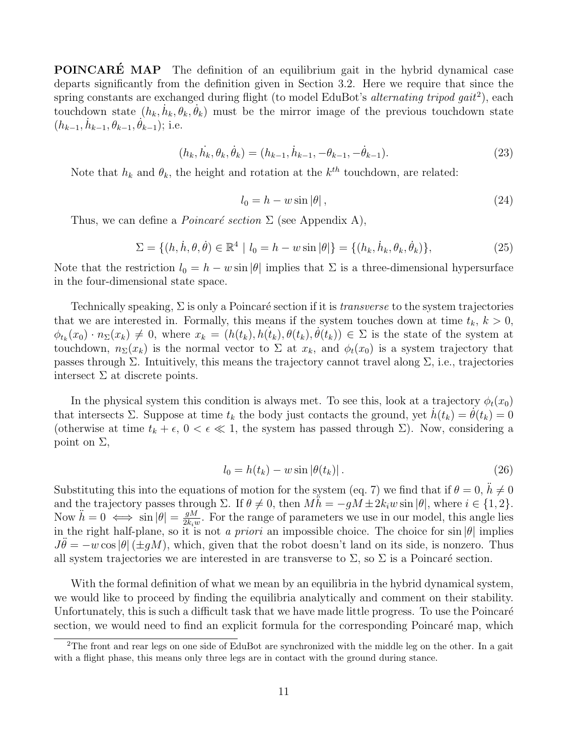**POINCARÉ MAP** The definition of an equilibrium gait in the hybrid dynamical case departs significantly from the definition given in Section 3.2. Here we require that since the spring constants are exchanged during flight (to model EduBot's *alternating tripod gait*<sup>2</sup>), each touchdown state  $(h_k, \dot{h}_k, \theta_k, \dot{\theta}_k)$  must be the mirror image of the previous touchdown state  $(h_{k-1}, \dot{h}_{k-1}, \dot{\theta}_{k-1}, \dot{\theta}_{k-1});$  i.e.

$$
(h_k, \dot{h}_k, \theta_k, \dot{\theta}_k) = (h_{k-1}, \dot{h}_{k-1}, -\theta_{k-1}, -\dot{\theta}_{k-1}).
$$
\n(23)

Note that  $h_k$  and  $\theta_k$ , the height and rotation at the  $k^{th}$  touchdown, are related:

$$
l_0 = h - w \sin |\theta| \,, \tag{24}
$$

Thus, we can define a *Poincaré section*  $\Sigma$  (see Appendix A),

$$
\Sigma = \{ (h, \dot{h}, \theta, \dot{\theta}) \in \mathbb{R}^4 \mid l_0 = h - w \sin |\theta| \} = \{ (h_k, \dot{h}_k, \theta_k, \dot{\theta}_k) \},
$$
\n(25)

Note that the restriction  $l_0 = h - w \sin |\theta|$  implies that  $\Sigma$  is a three-dimensional hypersurface in the four-dimensional state space.

Technically speaking,  $\Sigma$  is only a Poincaré section if it is *transverse* to the system trajectories that we are interested in. Formally, this means if the system touches down at time  $t_k$ ,  $k > 0$ ,  $\phi_{t_k}(x_0) \cdot n_{\Sigma}(x_k) \neq 0$ , where  $x_k = (h(t_k), h(t_k), \theta(t_k), \dot{\theta}(t_k)) \in \Sigma$  is the state of the system at touchdown,  $n_{\Sigma}(x_k)$  is the normal vector to  $\Sigma$  at  $x_k$ , and  $\phi_t(x_0)$  is a system trajectory that passes through Σ. Intuitively, this means the trajectory cannot travel along Σ, i.e., trajectories intersect  $\Sigma$  at discrete points.

In the physical system this condition is always met. To see this, look at a trajectory  $\phi_t(x_0)$ that intersects  $\Sigma$ . Suppose at time  $t_k$  the body just contacts the ground, yet  $h(t_k) = \theta(t_k) = 0$ (otherwise at time  $t_k + \epsilon$ ,  $0 < \epsilon \ll 1$ , the system has passed through  $\Sigma$ ). Now, considering a point on  $\Sigma$ ,

$$
l_0 = h(t_k) - w \sin \left[\theta(t_k)\right].\tag{26}
$$

Substituting this into the equations of motion for the system (eq. 7) we find that if  $\theta = 0$ ,  $\ddot{h} \neq 0$ and the trajectory passes through  $\Sigma$ . If  $\theta \neq 0$ , then  $Mh = -gM \pm 2k_iw \sin |\theta|$ , where  $i \in \{1, 2\}$ . Now  $\ddot{h} = 0 \iff \sin |\theta| = \frac{gM}{2k\pi}$  $\frac{gM}{2k_iw}$ . For the range of parameters we use in our model, this angle lies in the right half-plane, so it is not a priori an impossible choice. The choice for sin  $|\theta|$  implies  $J\theta = -w \cos|\theta|$  ( $\pm qM$ ), which, given that the robot doesn't land on its side, is nonzero. Thus all system trajectories we are interested in are transverse to  $\Sigma$ , so  $\Sigma$  is a Poincaré section.

With the formal definition of what we mean by an equilibria in the hybrid dynamical system, we would like to proceed by finding the equilibria analytically and comment on their stability. Unfortunately, this is such a difficult task that we have made little progress. To use the Poincaré section, we would need to find an explicit formula for the corresponding Poincaré map, which

<sup>&</sup>lt;sup>2</sup>The front and rear legs on one side of EduBot are synchronized with the middle leg on the other. In a gait with a flight phase, this means only three legs are in contact with the ground during stance.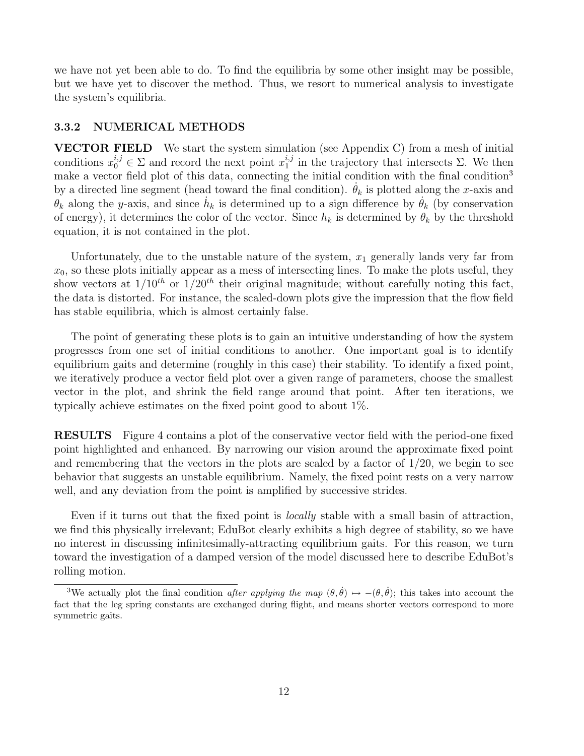we have not yet been able to do. To find the equilibria by some other insight may be possible, but we have yet to discover the method. Thus, we resort to numerical analysis to investigate the system's equilibria.

#### 3.3.2 NUMERICAL METHODS

VECTOR FIELD We start the system simulation (see Appendix C) from a mesh of initial conditions  $x_0^{i,j} \in \Sigma$  and record the next point  $x_1^{i,j}$  $i<sub>1</sub><sup>i,j</sup>$  in the trajectory that intersects  $\Sigma$ . We then make a vector field plot of this data, connecting the initial condition with the final condition<sup>3</sup> by a directed line segment (head toward the final condition).  $\theta_k$  is plotted along the x-axis and  $\hat{\theta_k}$  along the y-axis, and since  $\hat{h}_k$  is determined up to a sign difference by  $\hat{\theta_k}$  (by conservation of energy), it determines the color of the vector. Since  $h_k$  is determined by  $\theta_k$  by the threshold equation, it is not contained in the plot.

Unfortunately, due to the unstable nature of the system,  $x_1$  generally lands very far from  $x_0$ , so these plots initially appear as a mess of intersecting lines. To make the plots useful, they show vectors at  $1/10^{th}$  or  $1/20^{th}$  their original magnitude; without carefully noting this fact, the data is distorted. For instance, the scaled-down plots give the impression that the flow field has stable equilibria, which is almost certainly false.

The point of generating these plots is to gain an intuitive understanding of how the system progresses from one set of initial conditions to another. One important goal is to identify equilibrium gaits and determine (roughly in this case) their stability. To identify a fixed point, we iteratively produce a vector field plot over a given range of parameters, choose the smallest vector in the plot, and shrink the field range around that point. After ten iterations, we typically achieve estimates on the fixed point good to about 1%.

RESULTS Figure 4 contains a plot of the conservative vector field with the period-one fixed point highlighted and enhanced. By narrowing our vision around the approximate fixed point and remembering that the vectors in the plots are scaled by a factor of  $1/20$ , we begin to see behavior that suggests an unstable equilibrium. Namely, the fixed point rests on a very narrow well, and any deviation from the point is amplified by successive strides.

Even if it turns out that the fixed point is *locally* stable with a small basin of attraction, we find this physically irrelevant; EduBot clearly exhibits a high degree of stability, so we have no interest in discussing infinitesimally-attracting equilibrium gaits. For this reason, we turn toward the investigation of a damped version of the model discussed here to describe EduBot's rolling motion.

<sup>&</sup>lt;sup>3</sup>We actually plot the final condition after applying the map  $(\theta, \dot{\theta}) \mapsto -(\theta, \dot{\theta})$ ; this takes into account the fact that the leg spring constants are exchanged during flight, and means shorter vectors correspond to more symmetric gaits.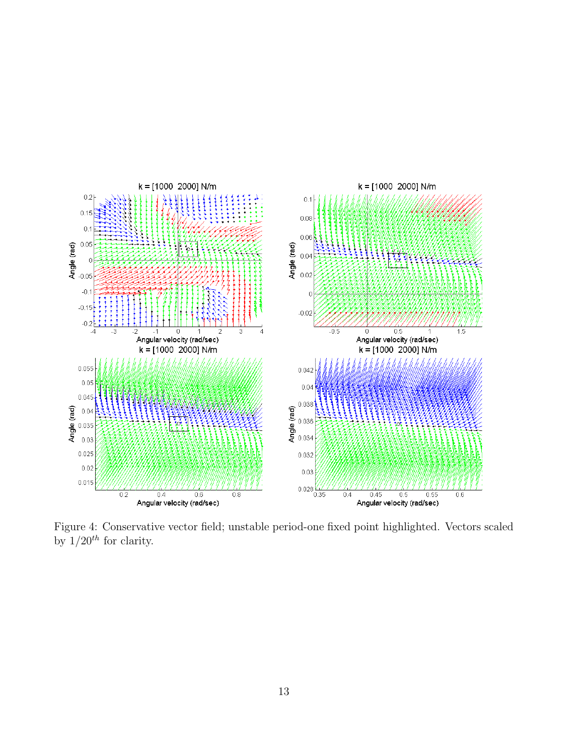

Figure 4: Conservative vector field; unstable period-one fixed point highlighted. Vectors scaled by  $1/20^{th}$  for clarity.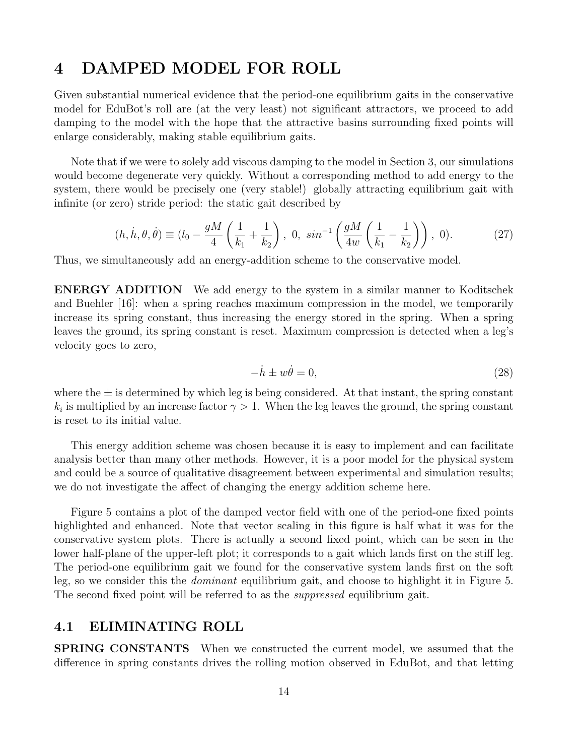### 4 DAMPED MODEL FOR ROLL

Given substantial numerical evidence that the period-one equilibrium gaits in the conservative model for EduBot's roll are (at the very least) not significant attractors, we proceed to add damping to the model with the hope that the attractive basins surrounding fixed points will enlarge considerably, making stable equilibrium gaits.

Note that if we were to solely add viscous damping to the model in Section 3, our simulations would become degenerate very quickly. Without a corresponding method to add energy to the system, there would be precisely one (very stable!) globally attracting equilibrium gait with infinite (or zero) stride period: the static gait described by

$$
(h, \dot{h}, \theta, \dot{\theta}) \equiv (l_0 - \frac{gM}{4} \left( \frac{1}{k_1} + \frac{1}{k_2} \right), 0, \sin^{-1} \left( \frac{gM}{4w} \left( \frac{1}{k_1} - \frac{1}{k_2} \right) \right), 0).
$$
 (27)

Thus, we simultaneously add an energy-addition scheme to the conservative model.

ENERGY ADDITION We add energy to the system in a similar manner to Koditschek and Buehler [16]: when a spring reaches maximum compression in the model, we temporarily increase its spring constant, thus increasing the energy stored in the spring. When a spring leaves the ground, its spring constant is reset. Maximum compression is detected when a leg's velocity goes to zero,

$$
-\dot{h} \pm w\dot{\theta} = 0,\t\t(28)
$$

where the  $\pm$  is determined by which leg is being considered. At that instant, the spring constant  $k_i$  is multiplied by an increase factor  $\gamma > 1$ . When the leg leaves the ground, the spring constant is reset to its initial value.

This energy addition scheme was chosen because it is easy to implement and can facilitate analysis better than many other methods. However, it is a poor model for the physical system and could be a source of qualitative disagreement between experimental and simulation results; we do not investigate the affect of changing the energy addition scheme here.

Figure 5 contains a plot of the damped vector field with one of the period-one fixed points highlighted and enhanced. Note that vector scaling in this figure is half what it was for the conservative system plots. There is actually a second fixed point, which can be seen in the lower half-plane of the upper-left plot; it corresponds to a gait which lands first on the stiff leg. The period-one equilibrium gait we found for the conservative system lands first on the soft leg, so we consider this the dominant equilibrium gait, and choose to highlight it in Figure 5. The second fixed point will be referred to as the *suppressed* equilibrium gait.

### 4.1 ELIMINATING ROLL

SPRING CONSTANTS When we constructed the current model, we assumed that the difference in spring constants drives the rolling motion observed in EduBot, and that letting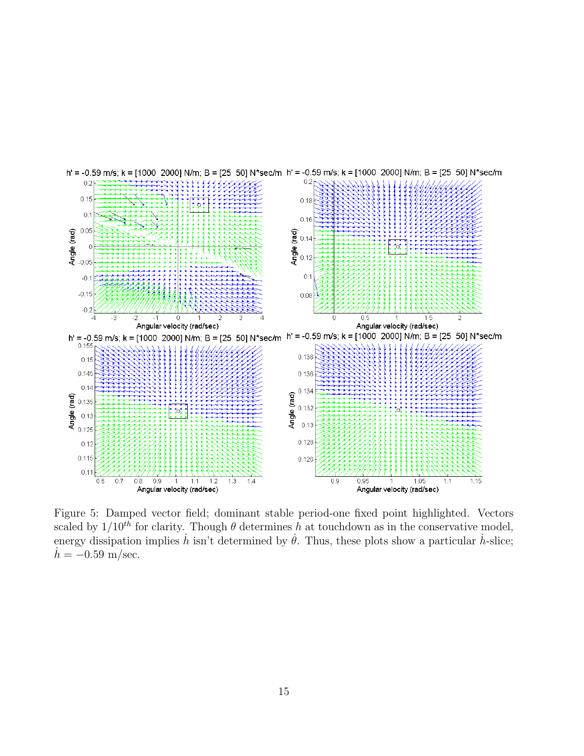

Figure 5: Damped vector field; dominant stable period-one fixed point highlighted. Vectors scaled by  $1/10^{th}$  for clarity. Though  $\theta$  determines h at touchdown as in the conservative model, energy dissipation implies  $\dot{h}$  isn't determined by  $\dot{\theta}$ . Thus, these plots show a particular  $\dot{h}$ -slice;  $h = -0.59$  m/sec.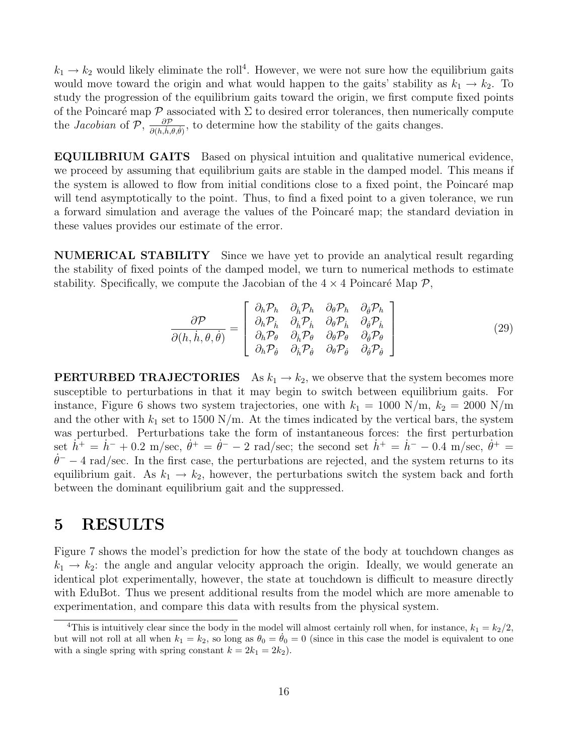$k_1 \rightarrow k_2$  would likely eliminate the roll<sup>4</sup>. However, we were not sure how the equilibrium gaits would move toward the origin and what would happen to the gaits' stability as  $k_1 \rightarrow k_2$ . To study the progression of the equilibrium gaits toward the origin, we first compute fixed points of the Poincaré map  $\mathcal P$  associated with  $\Sigma$  to desired error tolerances, then numerically compute the *Jacobian* of P,  $\frac{\partial P}{\partial (h,h,\theta,\theta)}$ , to determine how the stability of the gaits changes.

EQUILIBRIUM GAITS Based on physical intuition and qualitative numerical evidence, we proceed by assuming that equilibrium gaits are stable in the damped model. This means if the system is allowed to flow from initial conditions close to a fixed point, the Poincaré map will tend asymptotically to the point. Thus, to find a fixed point to a given tolerance, we run a forward simulation and average the values of the Poincaré map; the standard deviation in these values provides our estimate of the error.

NUMERICAL STABILITY Since we have yet to provide an analytical result regarding the stability of fixed points of the damped model, we turn to numerical methods to estimate stability. Specifically, we compute the Jacobian of the  $4 \times 4$  Poincaré Map  $P$ ,

$$
\frac{\partial \mathcal{P}}{\partial(h, \dot{h}, \theta, \dot{\theta})} = \begin{bmatrix}\n\frac{\partial_h \mathcal{P}_h}{\partial_h \mathcal{P}_h} & \frac{\partial_h \mathcal{P}_h}{\partial_{\theta} \mathcal{P}_h} & \frac{\partial_{\theta} \mathcal{P}_h}{\partial_{\theta} \mathcal{P}_h} \\
\frac{\partial_h \mathcal{P}_h}{\partial_h \mathcal{P}_\theta} & \frac{\partial_h \mathcal{P}_h}{\partial_h \mathcal{P}_\theta} & \frac{\partial_{\theta} \mathcal{P}_\theta}{\partial_{\theta} \mathcal{P}_\theta} \\
\frac{\partial_h \mathcal{P}_\theta}{\partial_h \mathcal{P}_\theta} & \frac{\partial_h \mathcal{P}_\theta}{\partial_{\theta} \mathcal{P}_\theta} & \frac{\partial_{\theta} \mathcal{P}_\theta}{\partial_{\theta} \mathcal{P}_\theta}\n\end{bmatrix} \n\tag{29}
$$

**PERTURBED TRAJECTORIES** As  $k_1 \rightarrow k_2$ , we observe that the system becomes more susceptible to perturbations in that it may begin to switch between equilibrium gaits. For instance, Figure 6 shows two system trajectories, one with  $k_1 = 1000 \text{ N/m}, k_2 = 2000 \text{ N/m}$ and the other with  $k_1$  set to 1500 N/m. At the times indicated by the vertical bars, the system was perturbed. Perturbations take the form of instantaneous forces: the first perturbation set  $h^+ = h^- + 0.2$  m/sec,  $\dot{\theta}^+ = \dot{\theta}^- - 2$  rad/sec; the second set  $h^+ = h^- - 0.4$  m/sec,  $\dot{\theta}^+ =$  $\dot{\theta}$ <sup>-</sup> − 4 rad/sec. In the first case, the perturbations are rejected, and the system returns to its equilibrium gait. As  $k_1 \rightarrow k_2$ , however, the perturbations switch the system back and forth between the dominant equilibrium gait and the suppressed.

### 5 RESULTS

Figure 7 shows the model's prediction for how the state of the body at touchdown changes as  $k_1 \rightarrow k_2$ : the angle and angular velocity approach the origin. Ideally, we would generate an identical plot experimentally, however, the state at touchdown is difficult to measure directly with EduBot. Thus we present additional results from the model which are more amenable to experimentation, and compare this data with results from the physical system.

<sup>&</sup>lt;sup>4</sup>This is intuitively clear since the body in the model will almost certainly roll when, for instance,  $k_1 = k_2/2$ , but will not roll at all when  $k_1 = k_2$ , so long as  $\theta_0 = \dot{\theta}_0 = 0$  (since in this case the model is equivalent to one with a single spring with spring constant  $k = 2k_1 = 2k_2$ .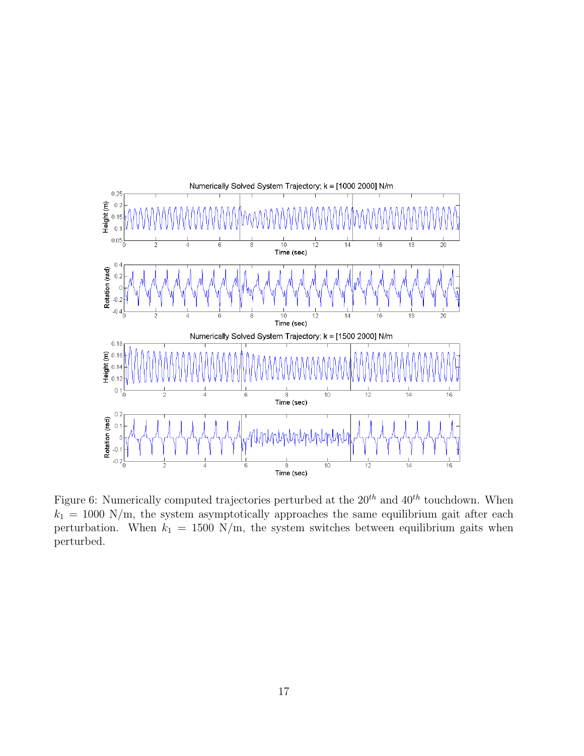

Figure 6: Numerically computed trajectories perturbed at the  $20^{th}$  and  $40^{th}$  touchdown. When  $k_1 = 1000$  N/m, the system asymptotically approaches the same equilibrium gait after each perturbation. When  $k_1 = 1500 \text{ N/m}$ , the system switches between equilibrium gaits when perturbed.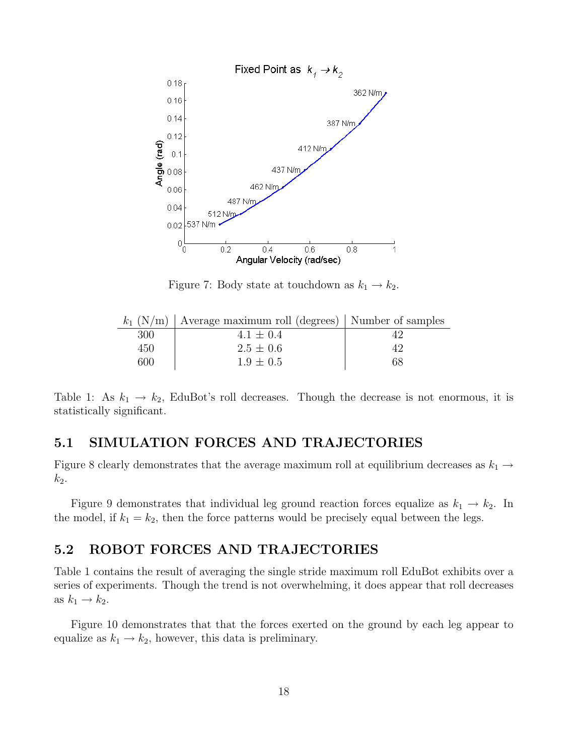

Figure 7: Body state at touchdown as  $k_1 \rightarrow k_2$ .

|     | $k_1$ (N/m) Average maximum roll (degrees) Number of samples |    |
|-----|--------------------------------------------------------------|----|
| 300 | $4.1 \pm 0.4$                                                |    |
| 450 | $2.5 \pm 0.6$                                                |    |
| 600 | $1.9 \pm 0.5$                                                | 68 |

Table 1: As  $k_1 \rightarrow k_2$ , EduBot's roll decreases. Though the decrease is not enormous, it is statistically significant.

### 5.1 SIMULATION FORCES AND TRAJECTORIES

Figure 8 clearly demonstrates that the average maximum roll at equilibrium decreases as  $k_1 \rightarrow$  $k_2$ .

Figure 9 demonstrates that individual leg ground reaction forces equalize as  $k_1 \rightarrow k_2$ . In the model, if  $k_1 = k_2$ , then the force patterns would be precisely equal between the legs.

### 5.2 ROBOT FORCES AND TRAJECTORIES

Table 1 contains the result of averaging the single stride maximum roll EduBot exhibits over a series of experiments. Though the trend is not overwhelming, it does appear that roll decreases as  $k_1 \rightarrow k_2$ .

Figure 10 demonstrates that that the forces exerted on the ground by each leg appear to equalize as  $k_1 \rightarrow k_2$ , however, this data is preliminary.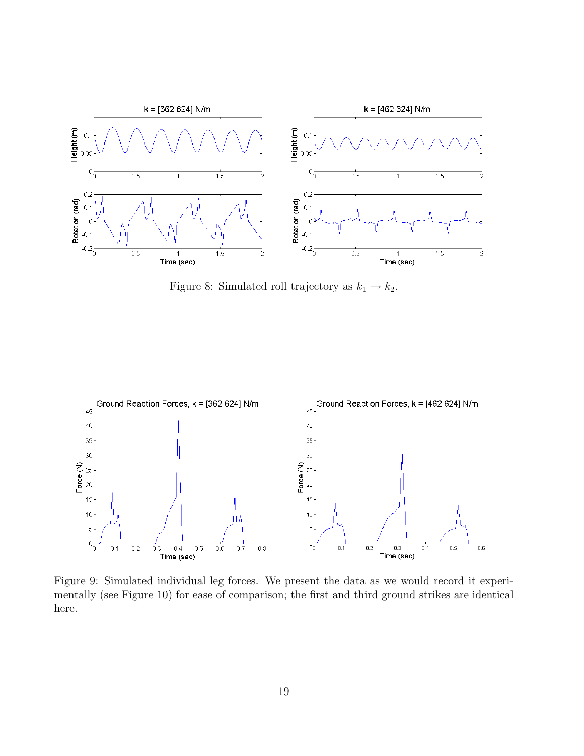

Figure 8: Simulated roll trajectory as  $k_1 \rightarrow k_2$ .



Figure 9: Simulated individual leg forces. We present the data as we would record it experimentally (see Figure 10) for ease of comparison; the first and third ground strikes are identical here.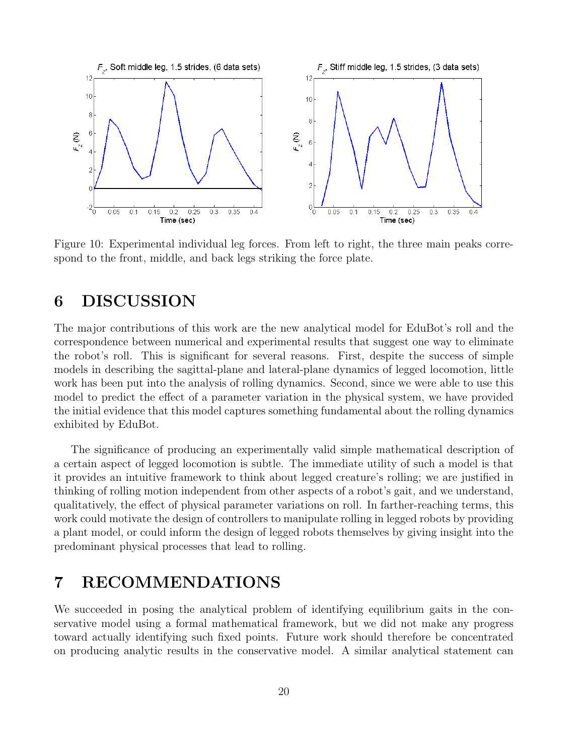

Figure 10: Experimental individual leg forces. From left to right, the three main peaks correspond to the front, middle, and back legs striking the force plate.

### 6 DISCUSSION

The major contributions of this work are the new analytical model for EduBot's roll and the correspondence between numerical and experimental results that suggest one way to eliminate the robot's roll. This is significant for several reasons. First, despite the success of simple models in describing the sagittal-plane and lateral-plane dynamics of legged locomotion, little work has been put into the analysis of rolling dynamics. Second, since we were able to use this model to predict the effect of a parameter variation in the physical system, we have provided the initial evidence that this model captures something fundamental about the rolling dynamics exhibited by EduBot.

The significance of producing an experimentally valid simple mathematical description of a certain aspect of legged locomotion is subtle. The immediate utility of such a model is that it provides an intuitive framework to think about legged creature's rolling; we are justified in thinking of rolling motion independent from other aspects of a robot's gait, and we understand, qualitatively, the effect of physical parameter variations on roll. In farther-reaching terms, this work could motivate the design of controllers to manipulate rolling in legged robots by providing a plant model, or could inform the design of legged robots themselves by giving insight into the predominant physical processes that lead to rolling.

### 7 RECOMMENDATIONS

We succeeded in posing the analytical problem of identifying equilibrium gaits in the conservative model using a formal mathematical framework, but we did not make any progress toward actually identifying such fixed points. Future work should therefore be concentrated on producing analytic results in the conservative model. A similar analytical statement can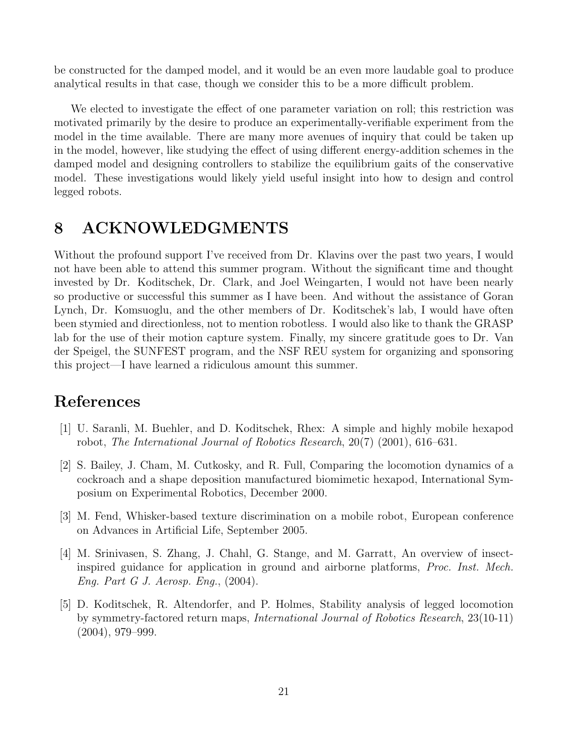be constructed for the damped model, and it would be an even more laudable goal to produce analytical results in that case, though we consider this to be a more difficult problem.

We elected to investigate the effect of one parameter variation on roll; this restriction was motivated primarily by the desire to produce an experimentally-verifiable experiment from the model in the time available. There are many more avenues of inquiry that could be taken up in the model, however, like studying the effect of using different energy-addition schemes in the damped model and designing controllers to stabilize the equilibrium gaits of the conservative model. These investigations would likely yield useful insight into how to design and control legged robots.

## 8 ACKNOWLEDGMENTS

Without the profound support I've received from Dr. Klavins over the past two years, I would not have been able to attend this summer program. Without the significant time and thought invested by Dr. Koditschek, Dr. Clark, and Joel Weingarten, I would not have been nearly so productive or successful this summer as I have been. And without the assistance of Goran Lynch, Dr. Komsuoglu, and the other members of Dr. Koditschek's lab, I would have often been stymied and directionless, not to mention robotless. I would also like to thank the GRASP lab for the use of their motion capture system. Finally, my sincere gratitude goes to Dr. Van der Speigel, the SUNFEST program, and the NSF REU system for organizing and sponsoring this project—I have learned a ridiculous amount this summer.

### References

- [1] U. Saranli, M. Buehler, and D. Koditschek, Rhex: A simple and highly mobile hexapod robot, The International Journal of Robotics Research, 20(7) (2001), 616–631.
- [2] S. Bailey, J. Cham, M. Cutkosky, and R. Full, Comparing the locomotion dynamics of a cockroach and a shape deposition manufactured biomimetic hexapod, International Symposium on Experimental Robotics, December 2000.
- [3] M. Fend, Whisker-based texture discrimination on a mobile robot, European conference on Advances in Artificial Life, September 2005.
- [4] M. Srinivasen, S. Zhang, J. Chahl, G. Stange, and M. Garratt, An overview of insectinspired guidance for application in ground and airborne platforms, Proc. Inst. Mech. Eng. Part G J. Aerosp. Eng., (2004).
- [5] D. Koditschek, R. Altendorfer, and P. Holmes, Stability analysis of legged locomotion by symmetry-factored return maps, International Journal of Robotics Research, 23(10-11) (2004), 979–999.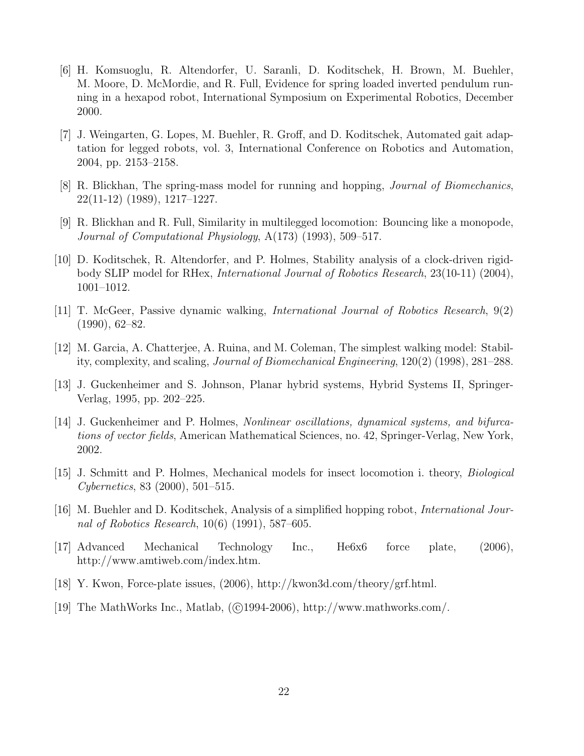- [6] H. Komsuoglu, R. Altendorfer, U. Saranli, D. Koditschek, H. Brown, M. Buehler, M. Moore, D. McMordie, and R. Full, Evidence for spring loaded inverted pendulum running in a hexapod robot, International Symposium on Experimental Robotics, December 2000.
- [7] J. Weingarten, G. Lopes, M. Buehler, R. Groff, and D. Koditschek, Automated gait adaptation for legged robots, vol. 3, International Conference on Robotics and Automation, 2004, pp. 2153–2158.
- [8] R. Blickhan, The spring-mass model for running and hopping, Journal of Biomechanics, 22(11-12) (1989), 1217–1227.
- [9] R. Blickhan and R. Full, Similarity in multilegged locomotion: Bouncing like a monopode, Journal of Computational Physiology, A(173) (1993), 509–517.
- [10] D. Koditschek, R. Altendorfer, and P. Holmes, Stability analysis of a clock-driven rigidbody SLIP model for RHex, International Journal of Robotics Research, 23(10-11) (2004), 1001–1012.
- [11] T. McGeer, Passive dynamic walking, International Journal of Robotics Research, 9(2) (1990), 62–82.
- [12] M. Garcia, A. Chatterjee, A. Ruina, and M. Coleman, The simplest walking model: Stability, complexity, and scaling, Journal of Biomechanical Engineering, 120(2) (1998), 281–288.
- [13] J. Guckenheimer and S. Johnson, Planar hybrid systems, Hybrid Systems II, Springer-Verlag, 1995, pp. 202–225.
- [14] J. Guckenheimer and P. Holmes, Nonlinear oscillations, dynamical systems, and bifurcations of vector fields, American Mathematical Sciences, no. 42, Springer-Verlag, New York, 2002.
- [15] J. Schmitt and P. Holmes, Mechanical models for insect locomotion i. theory, Biological Cybernetics, 83 (2000), 501–515.
- [16] M. Buehler and D. Koditschek, Analysis of a simplified hopping robot, International Journal of Robotics Research, 10(6) (1991), 587–605.
- [17] Advanced Mechanical Technology Inc., He6x6 force plate, (2006), http://www.amtiweb.com/index.htm.
- [18] Y. Kwon, Force-plate issues, (2006), http://kwon3d.com/theory/grf.html.
- [19] The MathWorks Inc., Matlab,  $(\textcircled{c}1994-2006)$ , http://www.mathworks.com/.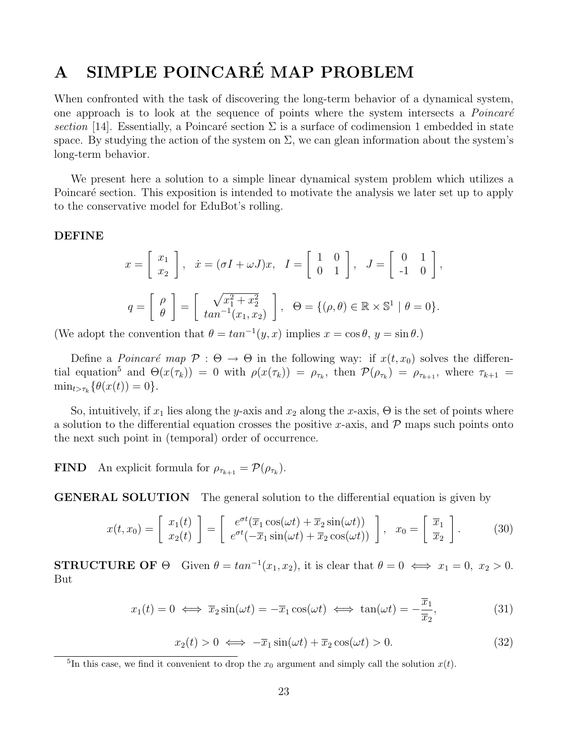# A SIMPLE POINCARÉ MAP PROBLEM

When confronted with the task of discovering the long-term behavior of a dynamical system, one approach is to look at the sequence of points where the system intersects a *Poincaré* section [14]. Essentially, a Poincaré section  $\Sigma$  is a surface of codimension 1 embedded in state space. By studying the action of the system on  $\Sigma$ , we can glean information about the system's long-term behavior.

We present here a solution to a simple linear dynamical system problem which utilizes a Poincaré section. This exposition is intended to motivate the analysis we later set up to apply to the conservative model for EduBot's rolling.

#### DEFINE

$$
x = \begin{bmatrix} x_1 \\ x_2 \end{bmatrix}, \quad \dot{x} = (\sigma I + \omega J)x, \quad I = \begin{bmatrix} 1 & 0 \\ 0 & 1 \end{bmatrix}, \quad J = \begin{bmatrix} 0 & 1 \\ -1 & 0 \end{bmatrix},
$$

$$
q = \begin{bmatrix} \rho \\ \theta \end{bmatrix} = \begin{bmatrix} \sqrt{x_1^2 + x_2^2} \\ \tan^{-1}(x_1, x_2) \end{bmatrix}, \quad \Theta = \{(\rho, \theta) \in \mathbb{R} \times \mathbb{S}^1 \mid \theta = 0\}.
$$

(We adopt the convention that  $\theta = \tan^{-1}(y, x)$  implies  $x = \cos \theta$ ,  $y = \sin \theta$ .)

Define a *Poincaré map*  $\mathcal{P}: \Theta \to \Theta$  in the following way: if  $x(t, x_0)$  solves the differential equation<sup>5</sup> and  $\Theta(x(\tau_k)) = 0$  with  $\rho(x(\tau_k)) = \rho_{\tau_k}$ , then  $\mathcal{P}(\rho_{\tau_k}) = \rho_{\tau_{k+1}}$ , where  $\tau_{k+1} =$  $\min_{t > \tau_k} {\{\theta(x(t)) = 0\}}.$ 

So, intuitively, if  $x_1$  lies along the y-axis and  $x_2$  along the x-axis,  $\Theta$  is the set of points where a solution to the differential equation crosses the positive x-axis, and  $\mathcal P$  maps such points onto the next such point in (temporal) order of occurrence.

**FIND** An explicit formula for  $\rho_{\tau_{k+1}} = \mathcal{P}(\rho_{\tau_k})$ .

GENERAL SOLUTION The general solution to the differential equation is given by

$$
x(t, x_0) = \begin{bmatrix} x_1(t) \\ x_2(t) \end{bmatrix} = \begin{bmatrix} e^{\sigma t} (\overline{x}_1 \cos(\omega t) + \overline{x}_2 \sin(\omega t)) \\ e^{\sigma t} (-\overline{x}_1 \sin(\omega t) + \overline{x}_2 \cos(\omega t)) \end{bmatrix}, \quad x_0 = \begin{bmatrix} \overline{x}_1 \\ \overline{x}_2 \end{bmatrix}.
$$
 (30)

**STRUCTURE OF**  $\Theta$  Given  $\theta = \tan^{-1}(x_1, x_2)$ , it is clear that  $\theta = 0 \iff x_1 = 0, x_2 > 0$ . But

$$
x_1(t) = 0 \iff \overline{x}_2 \sin(\omega t) = -\overline{x}_1 \cos(\omega t) \iff \tan(\omega t) = -\frac{\overline{x}_1}{\overline{x}_2},\tag{31}
$$

$$
x_2(t) > 0 \iff -\overline{x}_1 \sin(\omega t) + \overline{x}_2 \cos(\omega t) > 0. \tag{32}
$$

<sup>&</sup>lt;sup>5</sup>In this case, we find it convenient to drop the  $x_0$  argument and simply call the solution  $x(t)$ .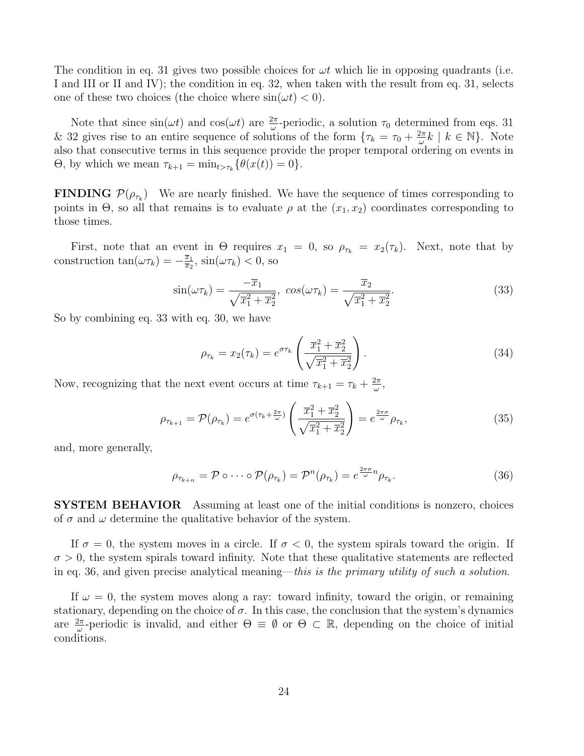The condition in eq. 31 gives two possible choices for  $\omega t$  which lie in opposing quadrants (i.e. I and III or II and IV); the condition in eq. 32, when taken with the result from eq. 31, selects one of these two choices (the choice where  $sin(\omega t) < 0$ ).

Note that since  $sin(\omega t)$  and  $cos(\omega t)$  are  $\frac{2\pi}{\omega}$ -periodic, a solution  $\tau_0$  determined from eqs. 31 & 32 gives rise to an entire sequence of solutions of the form  $\{\tau_k = \tau_0 + \frac{2\pi}{\omega}\}$  $\frac{2\pi}{\omega}k \mid k \in \mathbb{N}$ . Note also that consecutive terms in this sequence provide the proper temporal ordering on events in  $\Theta$ , by which we mean  $\tau_{k+1} = \min_{t > \tau_k} {\{\theta(x(t)) = 0\}}$ .

**FINDING**  $\mathcal{P}(\rho_{\tau_k})$  We are nearly finished. We have the sequence of times corresponding to points in  $\Theta$ , so all that remains is to evaluate  $\rho$  at the  $(x_1, x_2)$  coordinates corresponding to those times.

First, note that an event in  $\Theta$  requires  $x_1 = 0$ , so  $\rho_{\tau_k} = x_2(\tau_k)$ . Next, note that by construction  $\tan(\omega \tau_k) = -\frac{\overline{x}_1}{\overline{x}_2}$  $\frac{\overline{x}_1}{\overline{x}_2}$ ,  $\sin(\omega \tau_k) < 0$ , so

$$
\sin(\omega \tau_k) = \frac{-\overline{x}_1}{\sqrt{\overline{x}_1^2 + \overline{x}_2^2}}, \ \cos(\omega \tau_k) = \frac{\overline{x}_2}{\sqrt{\overline{x}_1^2 + \overline{x}_2^2}}.
$$
\n(33)

So by combining eq. 33 with eq. 30, we have

$$
\rho_{\tau_k} = x_2(\tau_k) = e^{\sigma \tau_k} \left( \frac{\overline{x}_1^2 + \overline{x}_2^2}{\sqrt{\overline{x}_1^2 + \overline{x}_2^2}} \right).
$$
\n(34)

Now, recognizing that the next event occurs at time  $\tau_{k+1} = \tau_k + \frac{2\pi}{\omega}$  $\frac{2\pi}{\omega}$  ,

$$
\rho_{\tau_{k+1}} = \mathcal{P}(\rho_{\tau_k}) = e^{\sigma(\tau_k + \frac{2\pi}{\omega})} \left( \frac{\overline{x}_1^2 + \overline{x}_2^2}{\sqrt{\overline{x}_1^2 + \overline{x}_2^2}} \right) = e^{\frac{2\pi\sigma}{\omega}} \rho_{\tau_k},\tag{35}
$$

and, more generally,

$$
\rho_{\tau_{k+n}} = \mathcal{P} \circ \cdots \circ \mathcal{P}(\rho_{\tau_k}) = \mathcal{P}^n(\rho_{\tau_k}) = e^{\frac{2\pi\sigma}{\omega}n} \rho_{\tau_k}.
$$
\n(36)

SYSTEM BEHAVIOR Assuming at least one of the initial conditions is nonzero, choices of  $\sigma$  and  $\omega$  determine the qualitative behavior of the system.

If  $\sigma = 0$ , the system moves in a circle. If  $\sigma < 0$ , the system spirals toward the origin. If  $\sigma > 0$ , the system spirals toward infinity. Note that these qualitative statements are reflected in eq. 36, and given precise analytical meaning—this is the primary utility of such a solution.

If  $\omega = 0$ , the system moves along a ray: toward infinity, toward the origin, or remaining stationary, depending on the choice of  $\sigma$ . In this case, the conclusion that the system's dynamics are  $\frac{2\pi}{\omega}$ -periodic is invalid, and either  $\Theta \equiv \emptyset$  or  $\Theta \subset \mathbb{R}$ , depending on the choice of initial conditions.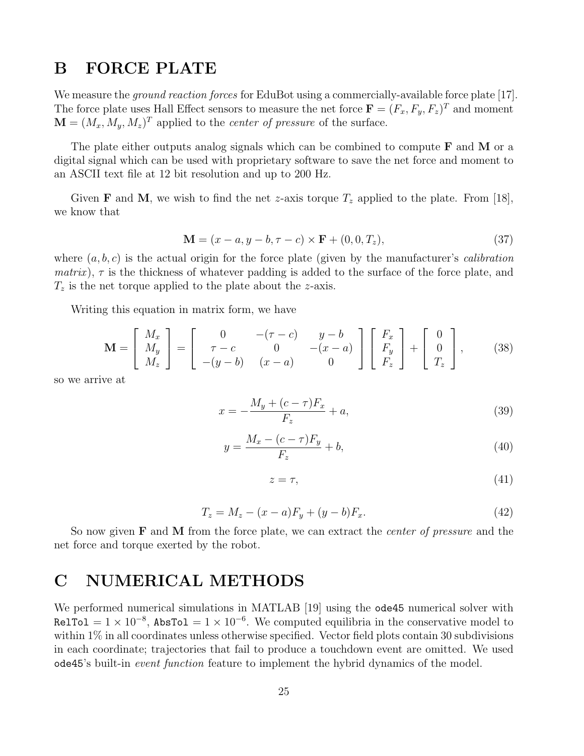### B FORCE PLATE

We measure the *ground reaction forces* for EduBot using a commercially-available force plate [17]. The force plate uses Hall Effect sensors to measure the net force  $\mathbf{F} = (F_x, F_y, F_z)^T$  and moment  $\mathbf{M} = (M_x, M_y, M_z)^T$  applied to the *center of pressure* of the surface.

The plate either outputs analog signals which can be combined to compute  **and**  $**M**$  **or a** digital signal which can be used with proprietary software to save the net force and moment to an ASCII text file at 12 bit resolution and up to 200 Hz.

Given **F** and **M**, we wish to find the net *z*-axis torque  $T_z$  applied to the plate. From [18], we know that

$$
\mathbf{M} = (x - a, y - b, \tau - c) \times \mathbf{F} + (0, 0, T_z),
$$
\n(37)

where  $(a, b, c)$  is the actual origin for the force plate (given by the manufacturer's *calibration matrix*),  $\tau$  is the thickness of whatever padding is added to the surface of the force plate, and  $T_z$  is the net torque applied to the plate about the z-axis.

Writing this equation in matrix form, we have

$$
\mathbf{M} = \begin{bmatrix} M_x \\ M_y \\ M_z \end{bmatrix} = \begin{bmatrix} 0 & -(\tau - c) & y - b \\ \tau - c & 0 & -(x - a) \\ -(y - b) & (x - a) & 0 \end{bmatrix} \begin{bmatrix} F_x \\ F_y \\ F_z \end{bmatrix} + \begin{bmatrix} 0 \\ 0 \\ T_z \end{bmatrix},
$$
(38)

so we arrive at

$$
x = -\frac{M_y + (c - \tau)F_x}{F_z} + a,\tag{39}
$$

$$
y = \frac{M_x - (c - \tau)F_y}{F_z} + b,\tag{40}
$$

$$
z = \tau,\tag{41}
$$

$$
T_z = M_z - (x - a)F_y + (y - b)F_x.
$$
\n(42)

So now given  **and**  $**M**$  **from the force plate, we can extract the** *center of pressure* **and the** net force and torque exerted by the robot.

# C NUMERICAL METHODS

We performed numerical simulations in MATLAB [19] using the ode45 numerical solver with RelTol =  $1 \times 10^{-8}$ , AbsTol =  $1 \times 10^{-6}$ . We computed equilibria in the conservative model to within 1% in all coordinates unless otherwise specified. Vector field plots contain 30 subdivisions in each coordinate; trajectories that fail to produce a touchdown event are omitted. We used ode45's built-in event function feature to implement the hybrid dynamics of the model.